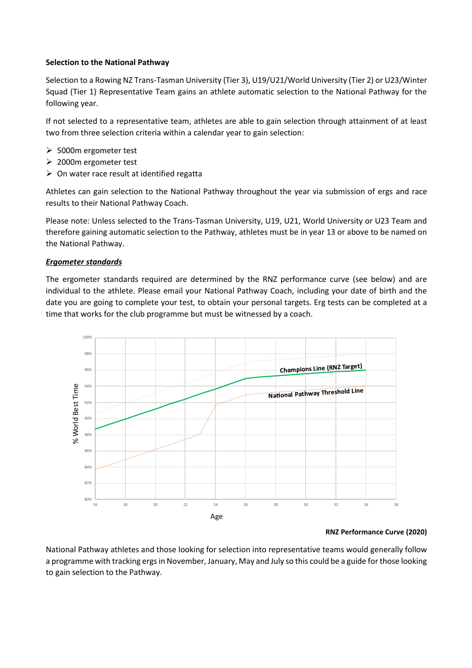## **Selection to the National Pathway**

Selection to a Rowing NZ Trans-Tasman University (Tier 3), U19/U21/World University (Tier 2) or U23/Winter Squad (Tier 1) Representative Team gains an athlete automatic selection to the National Pathway for the following year.

If not selected to a representative team, athletes are able to gain selection through attainment of at least two from three selection criteria within a calendar year to gain selection:

- ➢ 5000m ergometer test
- ➢ 2000m ergometer test
- $\triangleright$  On water race result at identified regatta

Athletes can gain selection to the National Pathway throughout the year via submission of ergs and race results to their National Pathway Coach.

Please note: Unless selected to the Trans-Tasman University, U19, U21, World University or U23 Team and therefore gaining automatic selection to the Pathway, athletes must be in year 13 or above to be named on the National Pathway.

## *Ergometer standards*

The ergometer standards required are determined by the RNZ performance curve (see below) and are individual to the athlete. Please email your National Pathway Coach, including your date of birth and the date you are going to complete your test, to obtain your personal targets. Erg tests can be completed at a time that works for the club programme but must be witnessed by a coach.



## **RNZ Performance Curve (2020)**

National Pathway athletes and those looking for selection into representative teams would generally follow a programme with tracking ergs in November, January, May and July so this could be a guide for those looking to gain selection to the Pathway.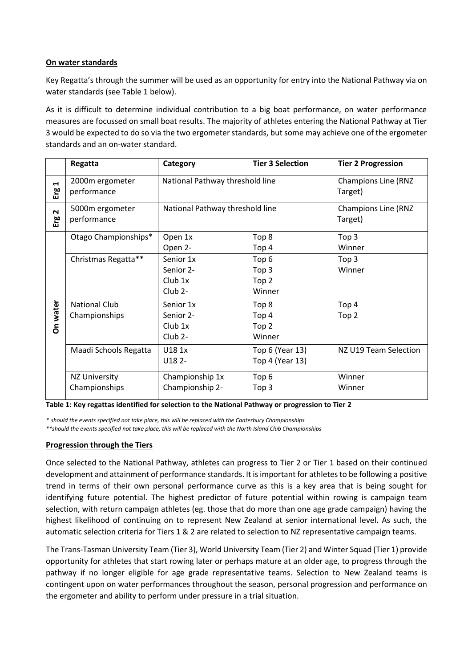## **On water standards**

Key Regatta's through the summer will be used as an opportunity for entry into the National Pathway via on water standards (see Table 1 below).

As it is difficult to determine individual contribution to a big boat performance, on water performance measures are focussed on small boat results. The majority of athletes entering the National Pathway at Tier 3 would be expected to do so via the two ergometer standards, but some may achieve one of the ergometer standards and an on-water standard.

|                              | Regatta                               | Category                                                   | <b>Tier 3 Selection</b>                                            | <b>Tier 2 Progression</b>             |
|------------------------------|---------------------------------------|------------------------------------------------------------|--------------------------------------------------------------------|---------------------------------------|
| $\blacksquare$<br>Erg        | 2000m ergometer<br>performance        | National Pathway threshold line                            |                                                                    | <b>Champions Line (RNZ</b><br>Target) |
| $\mathbf{\mathsf{N}}$<br>Erg | 5000m ergometer<br>performance        | National Pathway threshold line                            |                                                                    | <b>Champions Line (RNZ</b><br>Target) |
| On water                     | Otago Championships*                  | Open 1x<br>Open 2-                                         | Top 8<br>Top 4                                                     | Top <sub>3</sub><br>Winner            |
|                              | Christmas Regatta**                   | Senior 1x<br>Senior 2-<br>$Club$ 1x<br>$Club$ 2-           | Top <sub>6</sub><br>Top <sub>3</sub><br>Top <sub>2</sub><br>Winner | Top 3<br>Winner                       |
|                              | <b>National Club</b><br>Championships | Senior 1x<br>Senior 2-<br>$Club$ 1x<br>Club <sub>2</sub> - | Top 8<br>Top 4<br>Top <sub>2</sub><br>Winner                       | Top 4<br>Top <sub>2</sub>             |
|                              | Maadi Schools Regatta                 | U181x<br>U18 2-                                            | Top 6 (Year 13)<br>Top 4 (Year 13)                                 | NZ U19 Team Selection                 |
|                              | <b>NZ University</b><br>Championships | Championship 1x<br>Championship 2-                         | Top <sub>6</sub><br>Top <sub>3</sub>                               | Winner<br>Winner                      |

**Table 1: Key regattas identified for selection to the National Pathway or progression to Tier 2**

*\* should the events specified not take place, this will be replaced with the Canterbury Championships* 

*\*\*should the events specified not take place, this will be replaced with the North Island Club Championships*

## **Progression through the Tiers**

Once selected to the National Pathway, athletes can progress to Tier 2 or Tier 1 based on their continued development and attainment of performance standards. It is important for athletes to be following a positive trend in terms of their own personal performance curve as this is a key area that is being sought for identifying future potential. The highest predictor of future potential within rowing is campaign team selection, with return campaign athletes (eg. those that do more than one age grade campaign) having the highest likelihood of continuing on to represent New Zealand at senior international level. As such, the automatic selection criteria for Tiers 1 & 2 are related to selection to NZ representative campaign teams.

The Trans-Tasman University Team (Tier 3), World University Team (Tier 2) and Winter Squad (Tier 1) provide opportunity for athletes that start rowing later or perhaps mature at an older age, to progress through the pathway if no longer eligible for age grade representative teams. Selection to New Zealand teams is contingent upon on water performances throughout the season, personal progression and performance on the ergometer and ability to perform under pressure in a trial situation.